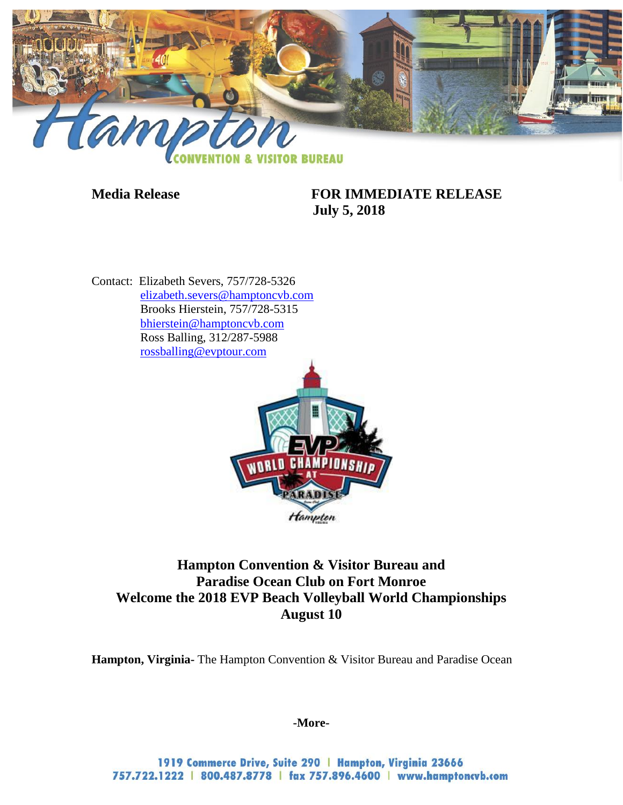

### **Media Release FOR IMMEDIATE RELEASE July 5, 2018**

Contact: Elizabeth Severs, 757/728-5326 [elizabeth.severs@hamptoncvb.com](mailto:elizabeth.severs@hamptoncvb.com) Brooks Hierstein, 757/728-5315 [bhierstein@hamptoncvb.com](mailto:bhierstein@hamptoncvb.com) Ross Balling, 312/287-5988 [rossballing@evptour.com](mailto:rossballing@evptour.com)



# **Hampton Convention & Visitor Bureau and Paradise Ocean Club on Fort Monroe Welcome the 2018 EVP Beach Volleyball World Championships August 10**

**Hampton, Virginia-** The Hampton Convention & Visitor Bureau and Paradise Ocean

**-More-**

1919 Commerce Drive, Suite 290 | Hampton, Virginia 23666 757.722.1222 | 800.487.8778 | fax 757.896.4600 | www.hamptoncvb.com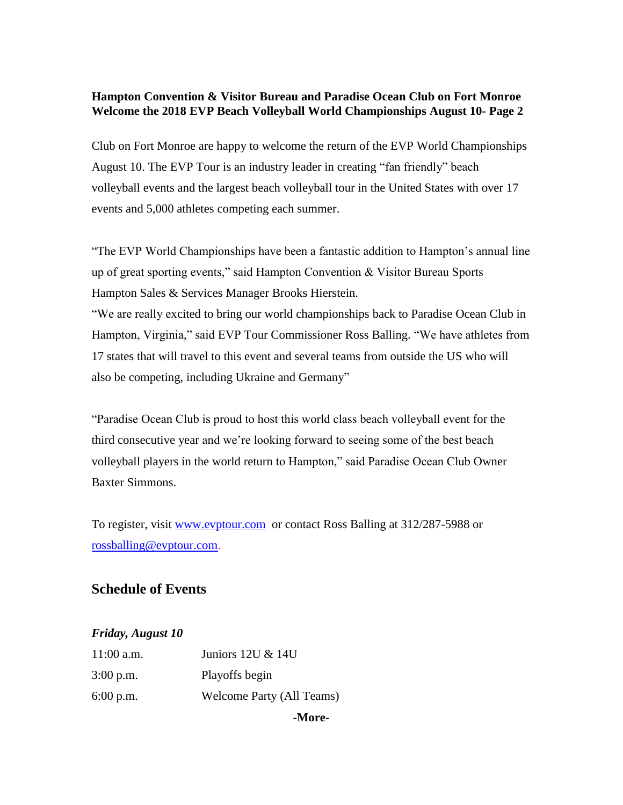#### **Hampton Convention & Visitor Bureau and Paradise Ocean Club on Fort Monroe Welcome the 2018 EVP Beach Volleyball World Championships August 10- Page 2**

Club on Fort Monroe are happy to welcome the return of the EVP World Championships August 10. The EVP Tour is an industry leader in creating "fan friendly" beach volleyball events and the largest beach volleyball tour in the United States with over 17 events and 5,000 athletes competing each summer.

"The EVP World Championships have been a fantastic addition to Hampton's annual line up of great sporting events," said Hampton Convention & Visitor Bureau Sports Hampton Sales & Services Manager Brooks Hierstein.

"We are really excited to bring our world championships back to Paradise Ocean Club in Hampton, Virginia," said EVP Tour Commissioner Ross Balling. "We have athletes from 17 states that will travel to this event and several teams from outside the US who will also be competing, including Ukraine and Germany"

"Paradise Ocean Club is proud to host this world class beach volleyball event for the third consecutive year and we're looking forward to seeing some of the best beach volleyball players in the world return to Hampton," said Paradise Ocean Club Owner Baxter Simmons.

To register, visit [www.evptour.com](http://www.evptour.com/) or contact Ross Balling at 312/287-5988 or [rossballing@evptour.com.](mailto:rossballing@evptour.com)

## **Schedule of Events**

#### *Friday, August 10*

|              | -More-                           |
|--------------|----------------------------------|
| $6:00$ p.m.  | <b>Welcome Party (All Teams)</b> |
| $3:00$ p.m.  | Playoffs begin                   |
| $11:00$ a.m. | Juniors 12U & 14U                |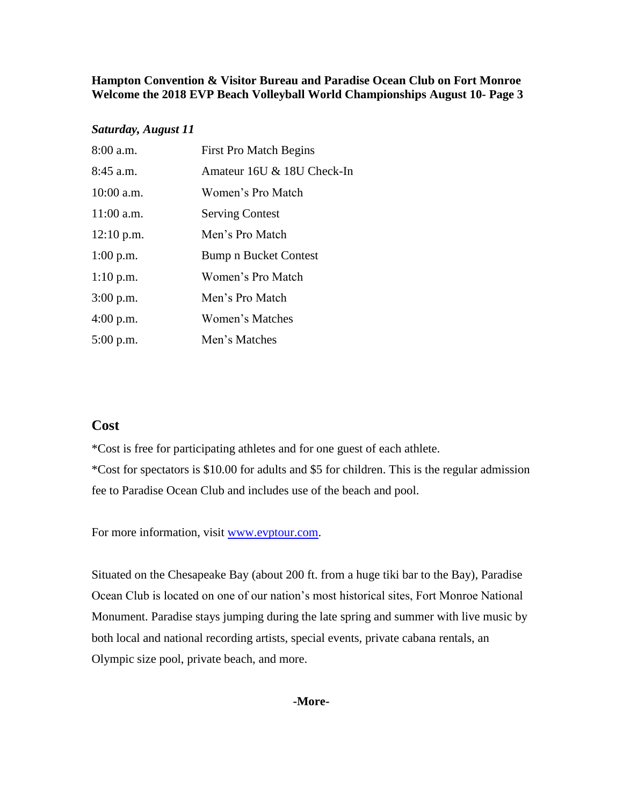#### **Hampton Convention & Visitor Bureau and Paradise Ocean Club on Fort Monroe Welcome the 2018 EVP Beach Volleyball World Championships August 10- Page 3**

#### *Saturday, August 11*

| 8:00 a.m.    | <b>First Pro Match Begins</b> |
|--------------|-------------------------------|
| $8:45$ a.m.  | Amateur 16U & 18U Check-In    |
| $10:00$ a.m. | Women's Pro Match             |
| 11:00 a.m.   | <b>Serving Contest</b>        |
| $12:10$ p.m. | Men's Pro Match               |
| $1:00$ p.m.  | Bump n Bucket Contest         |
| $1:10$ p.m.  | Women's Pro Match             |
| 3:00 p.m.    | Men's Pro Match               |
| $4:00$ p.m.  | <b>Women's Matches</b>        |
| 5:00 p.m.    | Men's Matches                 |

### **Cost**

\*Cost is free for participating athletes and for one guest of each athlete. \*Cost for spectators is \$10.00 for adults and \$5 for children. This is the regular admission fee to Paradise Ocean Club and includes use of the beach and pool.

For more information, visit [www.evptour.com.](http://www.evptour.com/)

Situated on the Chesapeake Bay (about 200 ft. from a huge tiki bar to the Bay), Paradise Ocean Club is located on one of our nation's most historical sites, Fort Monroe National Monument. Paradise stays jumping during the late spring and summer with live music by both local and national recording artists, special events, private cabana rentals, an Olympic size pool, private beach, and more.

#### **-More-**